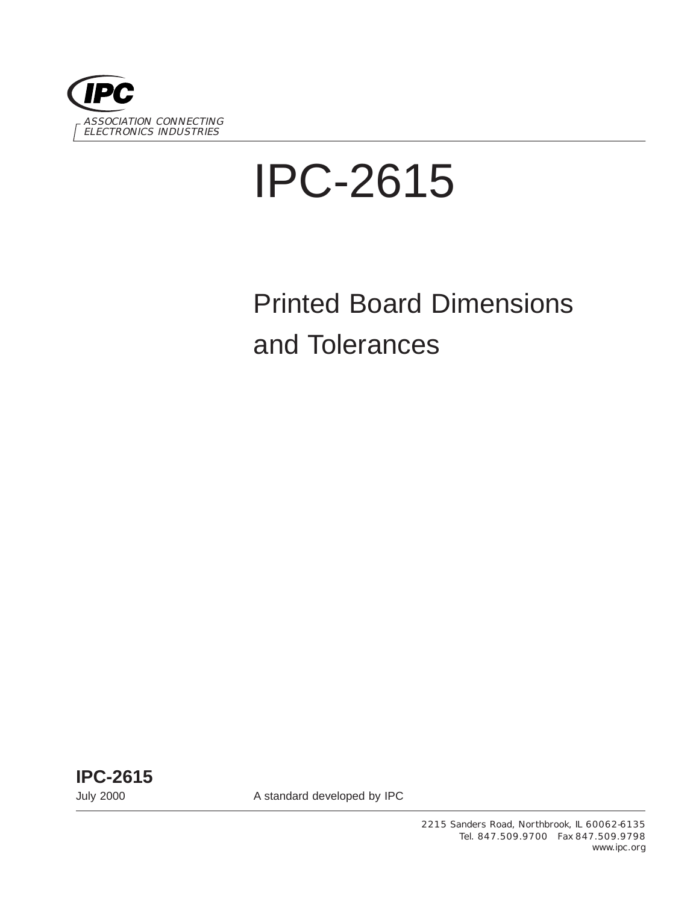

# IPC-2615

# Printed Board Dimensions and Tolerances

**IPC-2615**

July 2000 A standard developed by IPC

2215 Sanders Road, Northbrook, IL 60062-6135 Tel. 847.509.9700 Fax 847.509.9798 www.ipc.org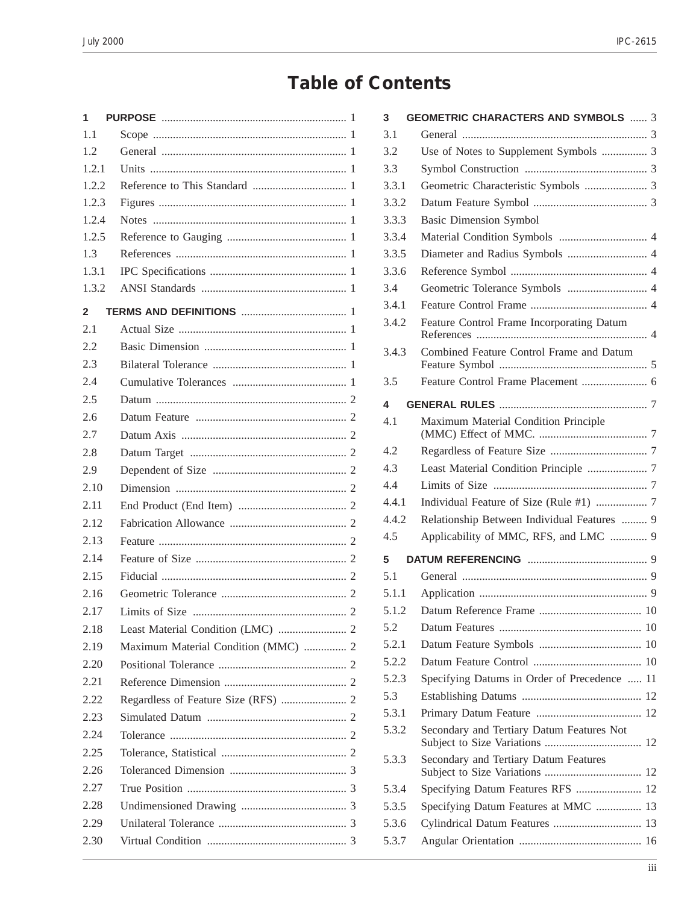## **Table of Contents**

| 1            |                                     |  |
|--------------|-------------------------------------|--|
| 1.1          |                                     |  |
| 1.2          |                                     |  |
| 1.2.1        |                                     |  |
| 1.2.2        |                                     |  |
| 1.2.3        |                                     |  |
| 1.2.4        |                                     |  |
| 1.2.5        |                                     |  |
| 1.3          |                                     |  |
| 1.3.1        |                                     |  |
| 1.3.2        |                                     |  |
| $\mathbf{2}$ |                                     |  |
| 2.1          |                                     |  |
| 2.2          |                                     |  |
| 2.3          |                                     |  |
| 2.4          |                                     |  |
| 2.5          |                                     |  |
| 2.6          |                                     |  |
| 2.7          |                                     |  |
| 2.8          |                                     |  |
| 2.9          |                                     |  |
| 2.10         |                                     |  |
| 2.11         |                                     |  |
| 2.12         |                                     |  |
| 2.13         |                                     |  |
| 2.14         |                                     |  |
| 2.15         |                                     |  |
| 2.16         |                                     |  |
| 2.17         |                                     |  |
| 2.18         |                                     |  |
| 2.19         | Maximum Material Condition (MMC)  2 |  |
| 2.20         |                                     |  |
| 2.21         |                                     |  |
| 2.22         |                                     |  |
| 2.23         |                                     |  |
| 2.24         |                                     |  |
| 2.25         |                                     |  |
| 2.26         |                                     |  |
| 2.27         |                                     |  |
| 2.28         |                                     |  |
| 2.29         |                                     |  |
| 2.30         |                                     |  |
|              |                                     |  |

| 3     | <b>GEOMETRIC CHARACTERS AND SYMBOLS  3</b>   |
|-------|----------------------------------------------|
| 3.1   |                                              |
| 3.2   | Use of Notes to Supplement Symbols  3        |
| 3.3   |                                              |
| 3.3.1 | Geometric Characteristic Symbols  3          |
| 3.3.2 |                                              |
| 3.3.3 | <b>Basic Dimension Symbol</b>                |
| 3.3.4 |                                              |
| 3.3.5 | Diameter and Radius Symbols  4               |
| 3.3.6 |                                              |
| 3.4   | Geometric Tolerance Symbols  4               |
| 3.4.1 |                                              |
| 3.4.2 | Feature Control Frame Incorporating Datum    |
| 3.4.3 | Combined Feature Control Frame and Datum     |
|       |                                              |
| 3.5   |                                              |
| 4     |                                              |
| 4.1   | Maximum Material Condition Principle         |
| 4.2   |                                              |
| 4.3   |                                              |
| 4.4   |                                              |
| 4.4.1 |                                              |
| 4.4.2 | Relationship Between Individual Features  9  |
| 4.5   | Applicability of MMC, RFS, and LMC  9        |
| 5     |                                              |
| 5.1   |                                              |
| 5.1.1 |                                              |
| 5.1.2 |                                              |
| 5.2   |                                              |
| 5.2.1 |                                              |
| 5.2.2 |                                              |
| 5.2.3 | Specifying Datums in Order of Precedence  11 |
| 5.3   |                                              |
| 5.3.1 |                                              |
| 5.3.2 | Secondary and Tertiary Datum Features Not    |
| 5.3.3 | Secondary and Tertiary Datum Features        |
| 5.3.4 | Specifying Datum Features RFS  12            |
| 5.3.5 | Specifying Datum Features at MMC  13         |
| 5.3.6 | Cylindrical Datum Features  13               |
| 5.3.7 |                                              |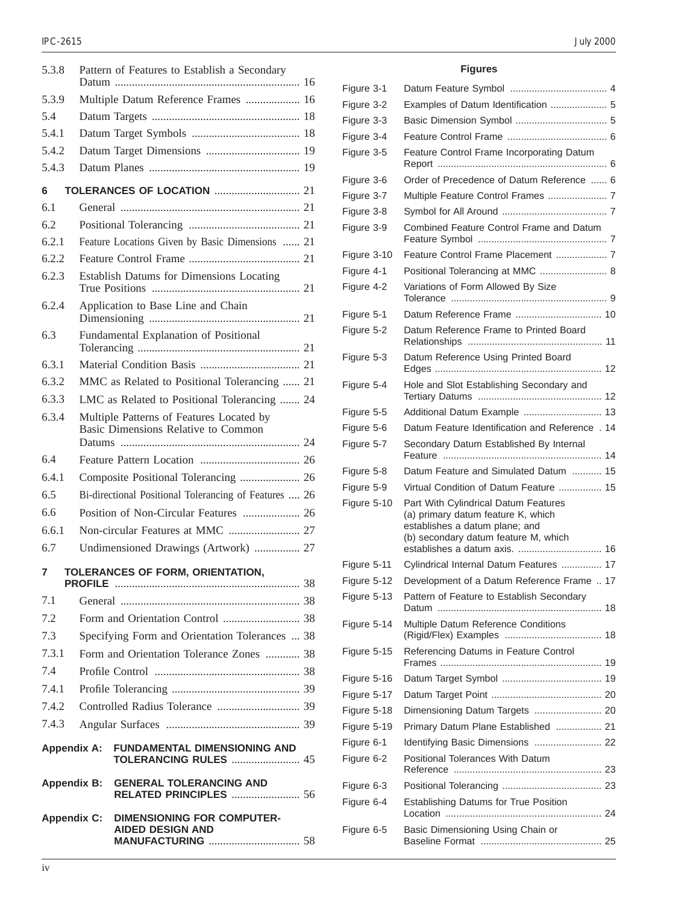| 5.3.8              |  | Pattern of Features to Establish a Secondary                                    |  |
|--------------------|--|---------------------------------------------------------------------------------|--|
| 5.3.9              |  | Multiple Datum Reference Frames  16                                             |  |
| 5.4                |  |                                                                                 |  |
| 5.4.1              |  |                                                                                 |  |
| 5.4.2              |  |                                                                                 |  |
| 5.4.3              |  |                                                                                 |  |
| 6                  |  |                                                                                 |  |
| 6.1                |  |                                                                                 |  |
| 62                 |  |                                                                                 |  |
| 6.2.1              |  | Feature Locations Given by Basic Dimensions  21                                 |  |
| 6.2.2              |  |                                                                                 |  |
| 6.2.3              |  |                                                                                 |  |
|                    |  | Establish Datums for Dimensions Locating                                        |  |
| 6.2.4              |  | Application to Base Line and Chain                                              |  |
| 6.3                |  | Fundamental Explanation of Positional                                           |  |
|                    |  |                                                                                 |  |
| 6.3.1              |  |                                                                                 |  |
| 6.3.2              |  | MMC as Related to Positional Tolerancing  21                                    |  |
| 6.3.3              |  | LMC as Related to Positional Tolerancing  24                                    |  |
| 6.3.4              |  | Multiple Patterns of Features Located by<br>Basic Dimensions Relative to Common |  |
| 6.4                |  |                                                                                 |  |
| 6.4.1              |  | Composite Positional Tolerancing  26                                            |  |
| 6.5                |  | Bi-directional Positional Tolerancing of Features  26                           |  |
| 6.6                |  | Position of Non-Circular Features  26                                           |  |
| 6.6.1              |  |                                                                                 |  |
| 6.7                |  | Undimensioned Drawings (Artwork)  27                                            |  |
| 7                  |  | TOLERANCES OF FORM, ORIENTATION,                                                |  |
|                    |  |                                                                                 |  |
| 7.1                |  |                                                                                 |  |
| 7.2                |  |                                                                                 |  |
| 7.3                |  | Specifying Form and Orientation Tolerances  38                                  |  |
| 7.3.1              |  | Form and Orientation Tolerance Zones  38                                        |  |
| 7.4                |  |                                                                                 |  |
| 7.4.1              |  |                                                                                 |  |
| 7.4.2              |  |                                                                                 |  |
| 7.4.3              |  |                                                                                 |  |
| <b>Appendix A:</b> |  | <b>FUNDAMENTAL DIMENSIONING AND</b><br><b>TOLERANCING RULES  45</b>             |  |
| <b>Appendix B:</b> |  | <b>GENERAL TOLERANCING AND</b><br><b>RELATED PRINCIPLES  56</b>                 |  |
| <b>Appendix C:</b> |  | <b>DIMENSIONING FOR COMPUTER-</b><br><b>AIDED DESIGN AND</b>                    |  |

#### **Figures**

| Figure 3-1  |                                                                                                                                                                                       |
|-------------|---------------------------------------------------------------------------------------------------------------------------------------------------------------------------------------|
| Figure 3-2  | Examples of Datum Identification  5                                                                                                                                                   |
| Figure 3-3  |                                                                                                                                                                                       |
| Figure 3-4  |                                                                                                                                                                                       |
| Figure 3-5  | Feature Control Frame Incorporating Datum                                                                                                                                             |
| Figure 3-6  | Order of Precedence of Datum Reference  6                                                                                                                                             |
| Figure 3-7  | Multiple Feature Control Frames  7                                                                                                                                                    |
| Figure 3-8  |                                                                                                                                                                                       |
| Figure 3-9  | Combined Feature Control Frame and Datum                                                                                                                                              |
| Figure 3-10 | Feature Control Frame Placement  7                                                                                                                                                    |
| Figure 4-1  | Positional Tolerancing at MMC  8                                                                                                                                                      |
| Figure 4-2  | Variations of Form Allowed By Size                                                                                                                                                    |
| Figure 5-1  | Datum Reference Frame  10                                                                                                                                                             |
| Figure 5-2  | Datum Reference Frame to Printed Board                                                                                                                                                |
| Figure 5-3  | Datum Reference Using Printed Board                                                                                                                                                   |
| Figure 5-4  | Hole and Slot Establishing Secondary and                                                                                                                                              |
| Figure 5-5  | Additional Datum Example  13                                                                                                                                                          |
| Figure 5-6  | Datum Feature Identification and Reference . 14                                                                                                                                       |
| Figure 5-7  | Secondary Datum Established By Internal                                                                                                                                               |
| Figure 5-8  | Datum Feature and Simulated Datum  15                                                                                                                                                 |
| Figure 5-9  | Virtual Condition of Datum Feature  15                                                                                                                                                |
| Figure 5-10 | Part With Cylindrical Datum Features<br>(a) primary datum feature K, which<br>establishes a datum plane; and<br>(b) secondary datum feature M, which<br>establishes a datum axis.  16 |
| Figure 5-11 | Cylindrical Internal Datum Features  17                                                                                                                                               |
| Figure 5-12 | Development of a Datum Reference Frame  17                                                                                                                                            |
| Figure 5-13 | Pattern of Feature to Establish Secondary                                                                                                                                             |
| Figure 5-14 | Multiple Datum Reference Conditions                                                                                                                                                   |
| Figure 5-15 | Referencing Datums in Feature Control                                                                                                                                                 |
| Figure 5-16 |                                                                                                                                                                                       |
| Figure 5-17 |                                                                                                                                                                                       |
| Figure 5-18 | Dimensioning Datum Targets  20                                                                                                                                                        |
| Figure 5-19 | Primary Datum Plane Established  21                                                                                                                                                   |
| Figure 6-1  | Identifying Basic Dimensions  22                                                                                                                                                      |
| Figure 6-2  | <b>Positional Tolerances With Datum</b>                                                                                                                                               |
| Figure 6-3  |                                                                                                                                                                                       |
| Figure 6-4  | <b>Establishing Datums for True Position</b>                                                                                                                                          |
| Figure 6-5  | Basic Dimensioning Using Chain or                                                                                                                                                     |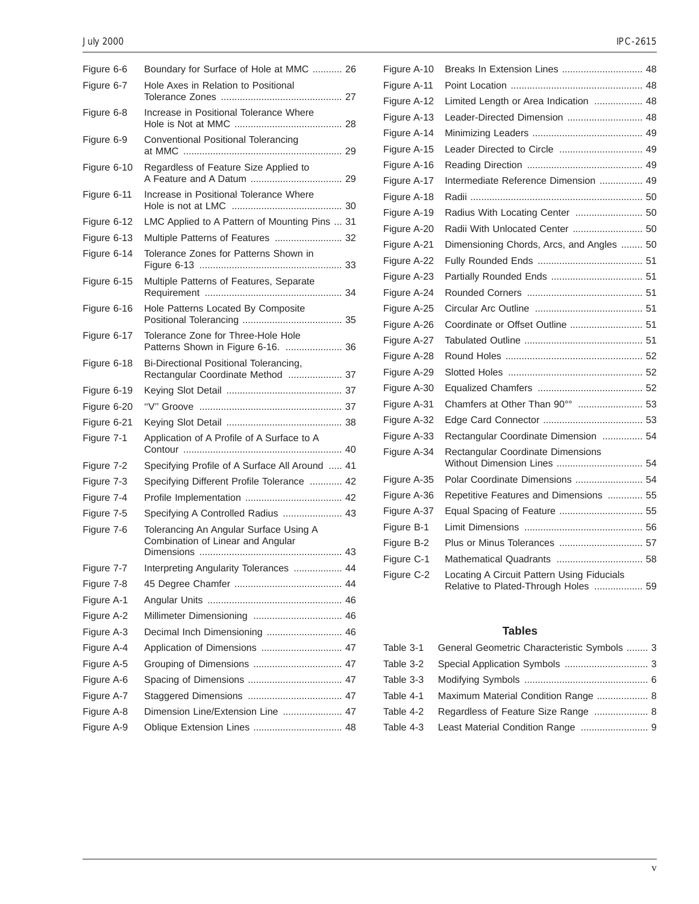#### July 2000 IPC-2615

| Figure 6-6  | Boundary for Surface of Hole at MMC  26                                     |  |
|-------------|-----------------------------------------------------------------------------|--|
| Figure 6-7  | Hole Axes in Relation to Positional                                         |  |
|             |                                                                             |  |
| Figure 6-8  | Increase in Positional Tolerance Where                                      |  |
| Figure 6-9  | Conventional Positional Tolerancing                                         |  |
| Figure 6-10 | Regardless of Feature Size Applied to                                       |  |
| Figure 6-11 | Increase in Positional Tolerance Where                                      |  |
| Figure 6-12 | LMC Applied to A Pattern of Mounting Pins  31                               |  |
| Figure 6-13 | Multiple Patterns of Features  32                                           |  |
| Figure 6-14 | Tolerance Zones for Patterns Shown in                                       |  |
| Figure 6-15 | Multiple Patterns of Features, Separate                                     |  |
| Figure 6-16 | Hole Patterns Located By Composite                                          |  |
| Figure 6-17 | Tolerance Zone for Three-Hole Hole<br>Patterns Shown in Figure 6-16.  36    |  |
| Figure 6-18 | Bi-Directional Positional Tolerancing,<br>Rectangular Coordinate Method  37 |  |
| Figure 6-19 |                                                                             |  |
| Figure 6-20 |                                                                             |  |
| Figure 6-21 |                                                                             |  |
| Figure 7-1  | Application of A Profile of A Surface to A                                  |  |
| Figure 7-2  | Specifying Profile of A Surface All Around  41                              |  |
| Figure 7-3  | Specifying Different Profile Tolerance  42                                  |  |
| Figure 7-4  |                                                                             |  |
| Figure 7-5  | Specifying A Controlled Radius  43                                          |  |
| Figure 7-6  | Tolerancing An Angular Surface Using A<br>Combination of Linear and Angular |  |
| Figure 7-7  | Interpreting Angularity Tolerances  44                                      |  |
| Figure 7-8  |                                                                             |  |
| Figure A-1  |                                                                             |  |
| Figure A-2  |                                                                             |  |
| Figure A-3  | Decimal Inch Dimensioning  46                                               |  |
| Figure A-4  | Application of Dimensions  47                                               |  |
| Figure A-5  | Grouping of Dimensions  47                                                  |  |
| Figure A-6  |                                                                             |  |
| Figure A-7  |                                                                             |  |
| Figure A-8  | Dimension Line/Extension Line  47                                           |  |
| Figure A-9  | Oblique Extension Lines  48                                                 |  |
|             |                                                                             |  |

| ١<br>١ |
|--------|
|--------|

| Figure A-10 | Breaks In Extension Lines  48                                                      |  |
|-------------|------------------------------------------------------------------------------------|--|
| Figure A-11 |                                                                                    |  |
| Figure A-12 | Limited Length or Area Indication  48                                              |  |
| Figure A-13 | Leader-Directed Dimension  48                                                      |  |
| Figure A-14 |                                                                                    |  |
| Figure A-15 | Leader Directed to Circle  49                                                      |  |
| Figure A-16 |                                                                                    |  |
| Figure A-17 | Intermediate Reference Dimension  49                                               |  |
| Figure A-18 |                                                                                    |  |
| Figure A-19 | Radius With Locating Center  50                                                    |  |
| Figure A-20 | Radii With Unlocated Center  50                                                    |  |
| Figure A-21 | Dimensioning Chords, Arcs, and Angles  50                                          |  |
| Figure A-22 |                                                                                    |  |
| Figure A-23 |                                                                                    |  |
| Figure A-24 |                                                                                    |  |
| Figure A-25 |                                                                                    |  |
| Figure A-26 | Coordinate or Offset Outline  51                                                   |  |
| Figure A-27 |                                                                                    |  |
| Figure A-28 |                                                                                    |  |
| Figure A-29 |                                                                                    |  |
| Figure A-30 |                                                                                    |  |
| Figure A-31 | Chamfers at Other Than 90°°  53                                                    |  |
| Figure A-32 |                                                                                    |  |
| Figure A-33 | Rectangular Coordinate Dimension  54                                               |  |
| Figure A-34 | Rectangular Coordinate Dimensions<br>Without Dimension Lines  54                   |  |
| Figure A-35 | Polar Coordinate Dimensions  54                                                    |  |
| Figure A-36 | Repetitive Features and Dimensions  55                                             |  |
| Figure A-37 | Equal Spacing of Feature  55                                                       |  |
| Figure B-1  |                                                                                    |  |
| Figure B-2  | Plus or Minus Tolerances  57                                                       |  |
| Figure C-1  | Mathematical Quadrants  58                                                         |  |
| Figure C-2  | Locating A Circuit Pattern Using Fiducials<br>Relative to Plated-Through Holes  59 |  |

#### **Tables**

| Table 3-1 General Geometric Characteristic Symbols  3 |  |
|-------------------------------------------------------|--|
|                                                       |  |
|                                                       |  |
| Table 4-1 Maximum Material Condition Range  8         |  |
| Table 4-2 Regardless of Feature Size Range  8         |  |
| Table 4-3 Least Material Condition Range  9           |  |